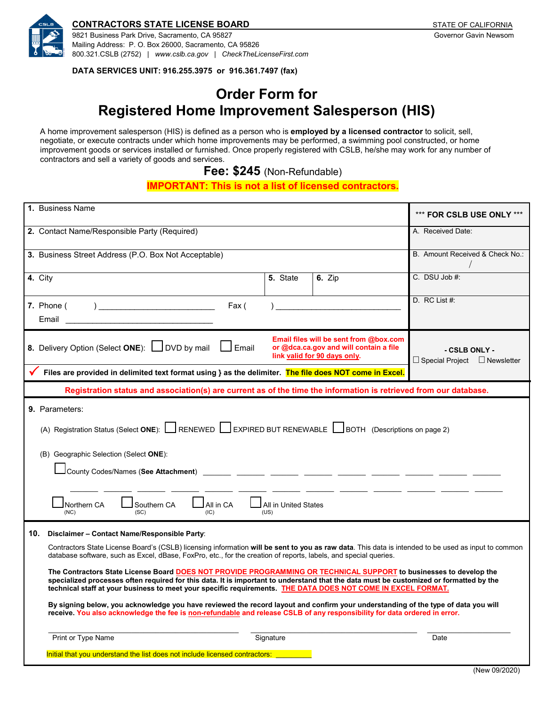

#### **CONTRACTORS STATE LICENSE BOARD STATE OF CALIFORNIA**

9821 Business Park Drive, Sacramento, CA 95827 Governor Gavin Newsom Mailing Address: P. O. Box 26000, Sacramento, CA 95826 800.321.CSLB (2752) | *[www.cslb.ca.gov](http://www.cslb.ca.gov/)* | *CheckTheLicenseFirst.com*

**DATA SERVICES UNIT: 916.255.3975 or 916.361.7497 (fax)**

# **Order Form for Registered Home Improvement Salesperson (HIS)**

A home improvement salesperson (HIS) is defined as a person who is **employed by a licensed contractor** to solicit, sell, negotiate, or execute contracts under which home improvements may be performed, a swimming pool constructed, or home improvement goods or services installed or furnished. Once properly registered with CSLB, he/she may work for any number of contractors and sell a variety of goods and services.

**Fee: \$245** (Non-Refundable)

#### **IMPORTANT: This is not a list of licensed contractors.**

| 1. Business Name                                                                                                                                                                                                                                                                                                                                                                                                                                                                                                                                                                                                                                                                                                                                                                                                                                                                                                                                                                                                                                                                                           | *** FOR CSLB USE ONLY ***                                 |  |  |  |  |  |  |  |
|------------------------------------------------------------------------------------------------------------------------------------------------------------------------------------------------------------------------------------------------------------------------------------------------------------------------------------------------------------------------------------------------------------------------------------------------------------------------------------------------------------------------------------------------------------------------------------------------------------------------------------------------------------------------------------------------------------------------------------------------------------------------------------------------------------------------------------------------------------------------------------------------------------------------------------------------------------------------------------------------------------------------------------------------------------------------------------------------------------|-----------------------------------------------------------|--|--|--|--|--|--|--|
| 2. Contact Name/Responsible Party (Required)                                                                                                                                                                                                                                                                                                                                                                                                                                                                                                                                                                                                                                                                                                                                                                                                                                                                                                                                                                                                                                                               | A. Received Date:                                         |  |  |  |  |  |  |  |
| 3. Business Street Address (P.O. Box Not Acceptable)                                                                                                                                                                                                                                                                                                                                                                                                                                                                                                                                                                                                                                                                                                                                                                                                                                                                                                                                                                                                                                                       | B. Amount Received & Check No.:                           |  |  |  |  |  |  |  |
| 4. City<br>5. State<br><b>6.</b> Zip                                                                                                                                                                                                                                                                                                                                                                                                                                                                                                                                                                                                                                                                                                                                                                                                                                                                                                                                                                                                                                                                       | C. DSU Job #:                                             |  |  |  |  |  |  |  |
| 7. Phone (<br>Fax (<br>Email                                                                                                                                                                                                                                                                                                                                                                                                                                                                                                                                                                                                                                                                                                                                                                                                                                                                                                                                                                                                                                                                               | D. RC List #:                                             |  |  |  |  |  |  |  |
| Email files will be sent from @box.com<br>8. Delivery Option (Select ONE): U DVD by mail<br>Email<br>or @dca.ca.gov and will contain a file<br>link valid for 90 days only.                                                                                                                                                                                                                                                                                                                                                                                                                                                                                                                                                                                                                                                                                                                                                                                                                                                                                                                                | - CSLB ONLY -<br>$\Box$ Special Project $\Box$ Newsletter |  |  |  |  |  |  |  |
| Files are provided in delimited text format using } as the delimiter. The file does NOT come in Excel.                                                                                                                                                                                                                                                                                                                                                                                                                                                                                                                                                                                                                                                                                                                                                                                                                                                                                                                                                                                                     |                                                           |  |  |  |  |  |  |  |
| Registration status and association(s) are current as of the time the information is retrieved from our database.                                                                                                                                                                                                                                                                                                                                                                                                                                                                                                                                                                                                                                                                                                                                                                                                                                                                                                                                                                                          |                                                           |  |  |  |  |  |  |  |
| 9. Parameters:<br>(A) Registration Status (Select ONE): RENEWED SEXPIRED BUT RENEWABLE BOTH (Descriptions on page 2)<br>(B) Geographic Selection (Select ONE):<br>Northern CA<br>Southern CA<br>All in CA<br>All in United States<br>(SC)<br>(US)<br>(NC)<br>(IC)                                                                                                                                                                                                                                                                                                                                                                                                                                                                                                                                                                                                                                                                                                                                                                                                                                          |                                                           |  |  |  |  |  |  |  |
| 10.<br>Disclaimer - Contact Name/Responsible Party:<br>Contractors State License Board's (CSLB) licensing information will be sent to you as raw data. This data is intended to be used as input to common<br>database software, such as Excel, dBase, FoxPro, etc., for the creation of reports, labels, and special queries.<br>The Contractors State License Board DOES NOT PROVIDE PROGRAMMING OR TECHNICAL SUPPORT to businesses to develop the<br>specialized processes often required for this data. It is important to understand that the data must be customized or formatted by the<br>technical staff at your business to meet your specific requirements. THE DATA DOES NOT COME IN EXCEL FORMAT.<br>By signing below, you acknowledge you have reviewed the record layout and confirm your understanding of the type of data you will<br>receive. You also acknowledge the fee is non-refundable and release CSLB of any responsibility for data ordered in error.<br>Print or Type Name<br>Signature<br>Date<br>Initial that you understand the list does not include licensed contractors: |                                                           |  |  |  |  |  |  |  |